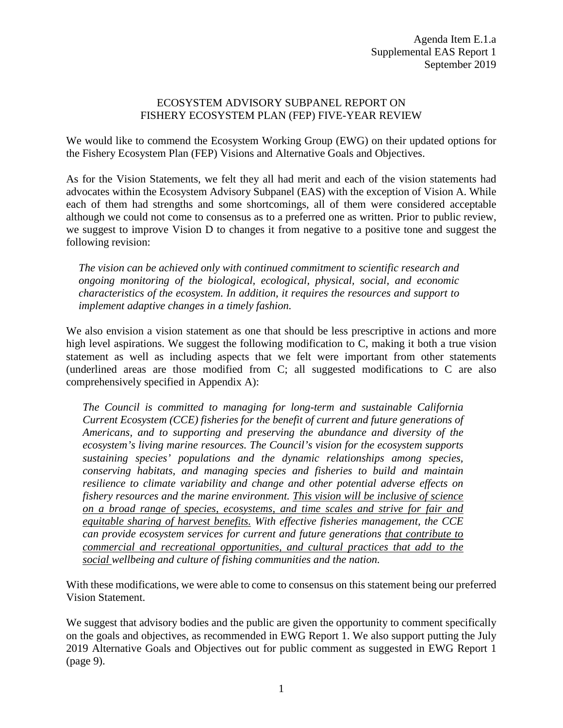## ECOSYSTEM ADVISORY SUBPANEL REPORT ON FISHERY ECOSYSTEM PLAN (FEP) FIVE-YEAR REVIEW

We would like to commend the Ecosystem Working Group (EWG) on their updated options for the Fishery Ecosystem Plan (FEP) Visions and Alternative Goals and Objectives.

As for the Vision Statements, we felt they all had merit and each of the vision statements had advocates within the Ecosystem Advisory Subpanel (EAS) with the exception of Vision A. While each of them had strengths and some shortcomings, all of them were considered acceptable although we could not come to consensus as to a preferred one as written. Prior to public review, we suggest to improve Vision D to changes it from negative to a positive tone and suggest the following revision:

*The vision can be achieved only with continued commitment to scientific research and ongoing monitoring of the biological, ecological, physical, social, and economic characteristics of the ecosystem. In addition, it requires the resources and support to implement adaptive changes in a timely fashion.*

We also envision a vision statement as one that should be less prescriptive in actions and more high level aspirations. We suggest the following modification to C, making it both a true vision statement as well as including aspects that we felt were important from other statements (underlined areas are those modified from C; all suggested modifications to C are also comprehensively specified in Appendix A):

*The Council is committed to managing for long-term and sustainable California Current Ecosystem (CCE) fisheries for the benefit of current and future generations of Americans, and to supporting and preserving the abundance and diversity of the ecosystem's living marine resources. The Council's vision for the ecosystem supports sustaining species' populations and the dynamic relationships among species, conserving habitats, and managing species and fisheries to build and maintain resilience to climate variability and change and other potential adverse effects on fishery resources and the marine environment. This vision will be inclusive of science on a broad range of species, ecosystems, and time scales and strive for fair and equitable sharing of harvest benefits. With effective fisheries management, the CCE can provide ecosystem services for current and future generations that contribute to commercial and recreational opportunities, and cultural practices that add to the social wellbeing and culture of fishing communities and the nation.*

With these modifications, we were able to come to consensus on this statement being our preferred Vision Statement.

We suggest that advisory bodies and the public are given the opportunity to comment specifically on the goals and objectives, as recommended in EWG Report 1. We also support putting the July 2019 Alternative Goals and Objectives out for public comment as suggested in EWG Report 1 (page 9).